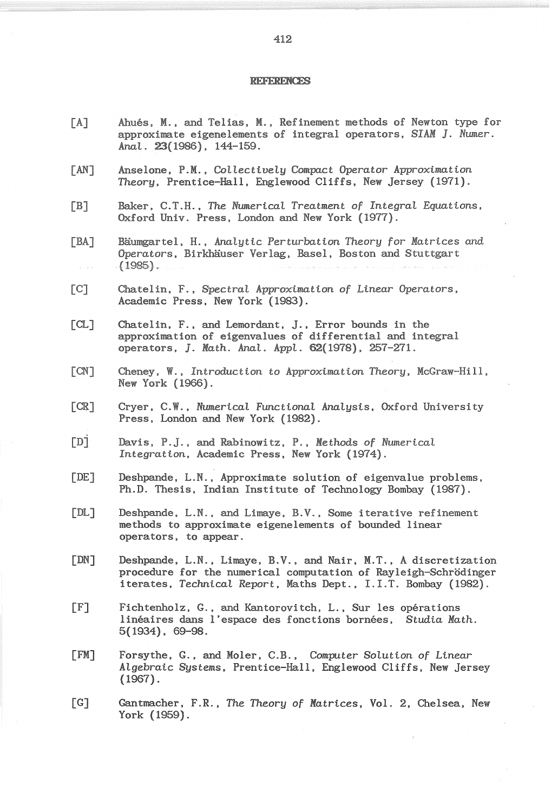## **REFERENCES**

- [A] Ahues, **M.,** and Telias, **M.,** Refinement methods of Newton type for approximate eigenelements of integral operators, *SIAM ].* Numer. AnaL. 23{1986), 144-159.
- [AN] Anselone, **P.M.,** CoLLectiveLy *Compact* Operator *Approximation*  Theory, Prentice-Hall, Englewood Cliffs, New Jersey {1971).
- [B] Baker, C.T.H., The NumericaL *Treatment of* IntegraL *Equations,*  Oxford Univ. Press, London and New York {1977).
- [BA] Baumgartel, H., AnaLytic Perturbation Theory for *Matrices* and Operators, Birkhauser Verlag, Basel, Boston and Stuttgart  $(1985)$ .
- [C] Chatelin, F., Spectral Approximation of Linear Operators, Academic Press. New York {1983).
- [CL] Chatelin, F., and Lemordant, J., Error bounds in the approximation of eigenvalues of differential and integral operators. *]. Math.* AnaL. AppL. 62{1978), 257-271.
- [CN] Cheney, W., *Introduction* to *Approximation* Theory, McGraw-Hill, New York {1966).
- [CR] Cryer, C.W., Numerical Functional Analysis, Oxford University Press. London and New York {1982).
- [Dj Davis, P.J .• and Rabinowitz, P .• Methods *of* NumericaL *Integration,* Academic Press, New York (1974).
- [DE] Deshpande, L.N., Approximate solution of eigenvalue problems, Ph.D. Thesis, Indian Institute of Technology Bombay (1987).
- [DL] Deshpande, L.N., and Limaye, B.V .• Some iterative refinement methods to approximate eigenelements of bounded linear operators, to appear.
- [DN] Deshpande, L.N., Limaye, B.V., and Nair, M.T., A discretization procedure for the numerical computation of Rayleigh-Schrodinger iterates, TechnicaL Report, Maths Dept., I.I.T. Bombay {1982).
- [F] Fichtenholz, G., and Kantorovitch, L., Sur les opérations lineaires dans l'espace des fonctions bornees, *Studia Math.*  5{1934). 69-98.
- [FM] Forsythe, G .• and Moler, C.B., *Computer* SoLution *of Linear*  ALgebraic Systems, Prentice-Hall, Englewood Cliffs, New Jersey  $(1967)$ .
- [G] Gantmacher. F.R., The Theory *of Matrices,* Vol. 2, Chelsea, New York {1959).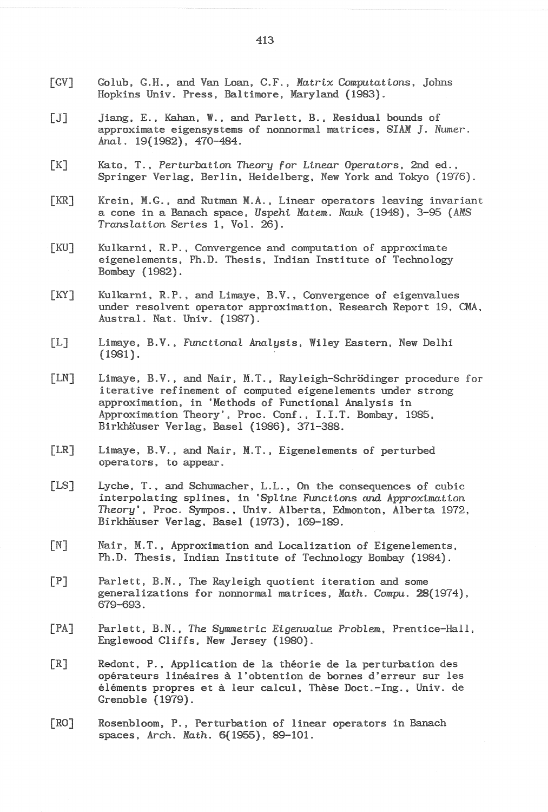- [GVJ Golub, G.H., and Van Loan, C.F., *Matrix Computations,* Johns Hopkins Univ. Press, Baltimore, Maryland (1983).
- [J] Jiang, E., Kahan, W., and Parlett, B., Residual bounds of approximate eigensystems of nonnormal matrices, SIAM J. Numer. AnaL. 19(1982), 470-484.
- [K] Kato, T., Perturbation *Theory* for *Linear Operators,* 2nd ed., Springer Verlag, Berlin, Heidelberg, New York and Tokyo (1976).
- [KR] Krein, M.G., and Rutman M.A., Linear operators leaving invariant a cone in a Banach space, *Uspehi Matem. Nauk* (1948), 3-95 (AMS *TransLation Series* 1, Vol. 26).
- [KU] Kulkarni, R.P., Convergence and computation of approximate eigenelements, Ph.D. Thesis, Indian Institute of Technology Bombay (1982).
- [KY] Kulkarni, R.P., and Limaye, B.V., Convergence of eigenvalues under resolvent operator approximation, Research Report 19, CMA, Austral. Nat. Univ. (1987).
- [L] Limaye, B.V., *Functional Analysis*, Wiley Eastern, New Delhi (1981).
- [LN] Limaye, B.V., and Nair, M.T., Rayleigh-Schrodinger procedure for iterative refinement of computed eigenelements under strong approximation, in 'Methods of Functional Analysis in Approximation Theory', Proc. Conf., I.I.T. Bombay, 1985, Birkhäuser Verlag, Basel (1986), 371-388.
- [LR] Limaye, B.V., and Nair, M.T., Eigenelements of perturbed operators, to appear.
- [LS] Lyche, T., and Schumacher, L.L., On the consequences of cubic interpolating splines, in *'Spline Functions and Approximation Theory',* Proc. Sympos., Univ. Alberta, Edmonton, Alberta 1972, Birkhauser Verlag, Basel (1973), 169-189.
- [N] Nair, M.T., Approximation and Localization of Eigenelements, Ph.D. Thesis, Indian Institute of Technology Bombay (1984).
- $[P]$  Parlett, B.N., The Rayleigh quotient iteration and some generalizations for nonnormal matrices, Math. Compu. 28(1974), 679-693.
- [PA] Parlett, B.N., The *Symmetric Eigenvalue ProbLera,* Prentice-Hall, Englewood Cliffs, New Jersey (1980).
- [R] Redont. P., Application de la theorie de la perturbation des operateurs lineaires a l'obtention de bornes d'erreur sur les éléments propres et à leur calcul, Thèse Doct.-Ing., Univ. de Grenoble (1979).
- [RO] Rosenbloom, P., Perturbation of linear operators in Banach spaces, Arch. Nath. 6{1955), 89-101.